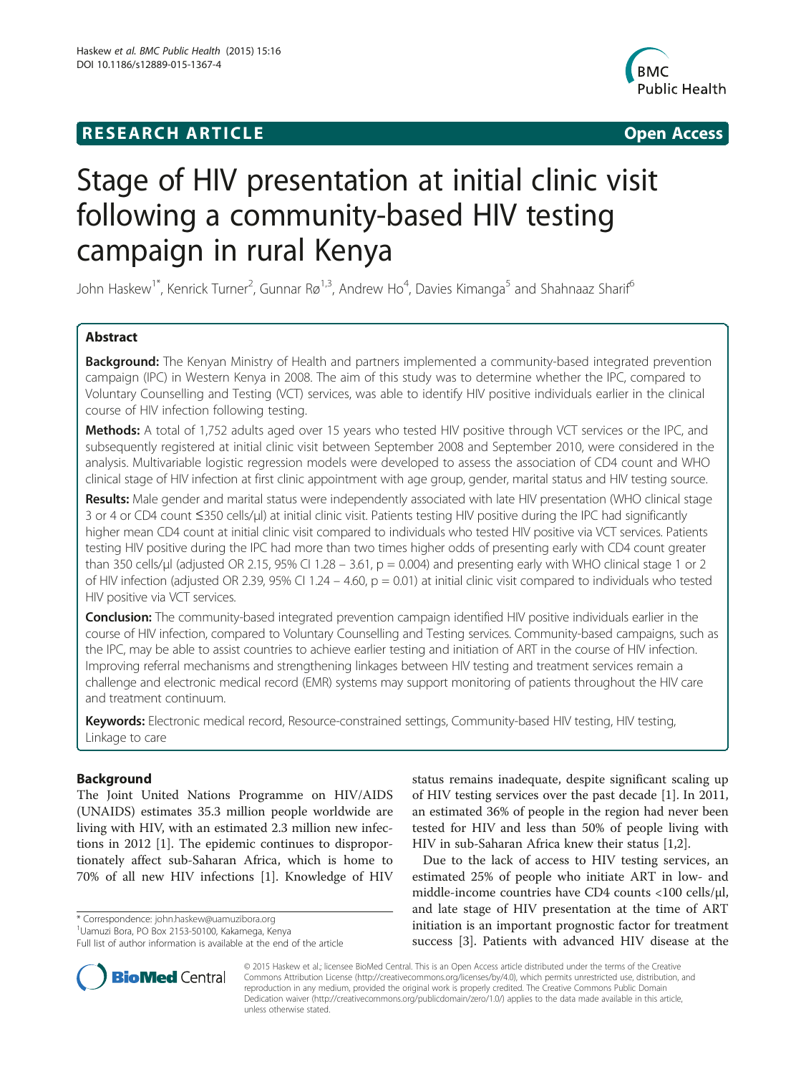# **RESEARCH ARTICLE Example 2014 CONSIDERING CONSIDERING CONSIDERING CONSIDERING CONSIDERING CONSIDERING CONSIDERING CONSIDERING CONSIDERING CONSIDERING CONSIDERING CONSIDERING CONSIDERING CONSIDERING CONSIDERING CONSIDE**



# Stage of HIV presentation at initial clinic visit following a community-based HIV testing campaign in rural Kenya

John Haskew<sup>1\*</sup>, Kenrick Turner<sup>2</sup>, Gunnar Rø<sup>1,3</sup>, Andrew Ho<sup>4</sup>, Davies Kimanga<sup>5</sup> and Shahnaaz Sharif<sup>6</sup>

# Abstract

**Background:** The Kenyan Ministry of Health and partners implemented a community-based integrated prevention campaign (IPC) in Western Kenya in 2008. The aim of this study was to determine whether the IPC, compared to Voluntary Counselling and Testing (VCT) services, was able to identify HIV positive individuals earlier in the clinical course of HIV infection following testing.

Methods: A total of 1,752 adults aged over 15 years who tested HIV positive through VCT services or the IPC, and subsequently registered at initial clinic visit between September 2008 and September 2010, were considered in the analysis. Multivariable logistic regression models were developed to assess the association of CD4 count and WHO clinical stage of HIV infection at first clinic appointment with age group, gender, marital status and HIV testing source.

Results: Male gender and marital status were independently associated with late HIV presentation (WHO clinical stage 3 or 4 or CD4 count ≤350 cells/μl) at initial clinic visit. Patients testing HIV positive during the IPC had significantly higher mean CD4 count at initial clinic visit compared to individuals who tested HIV positive via VCT services. Patients testing HIV positive during the IPC had more than two times higher odds of presenting early with CD4 count greater than 350 cells/µl (adjusted OR 2.15, 95% CI 1.28 – 3.61,  $p = 0.004$ ) and presenting early with WHO clinical stage 1 or 2 of HIV infection (adjusted OR 2.39, 95% CI 1.24 – 4.60,  $p = 0.01$ ) at initial clinic visit compared to individuals who tested HIV positive via VCT services.

Conclusion: The community-based integrated prevention campaign identified HIV positive individuals earlier in the course of HIV infection, compared to Voluntary Counselling and Testing services. Community-based campaigns, such as the IPC, may be able to assist countries to achieve earlier testing and initiation of ART in the course of HIV infection. Improving referral mechanisms and strengthening linkages between HIV testing and treatment services remain a challenge and electronic medical record (EMR) systems may support monitoring of patients throughout the HIV care and treatment continuum.

Keywords: Electronic medical record, Resource-constrained settings, Community-based HIV testing, HIV testing, Linkage to care

# Background

The Joint United Nations Programme on HIV/AIDS (UNAIDS) estimates 35.3 million people worldwide are living with HIV, with an estimated 2.3 million new infections in 2012 [\[1](#page-5-0)]. The epidemic continues to disproportionately affect sub-Saharan Africa, which is home to 70% of all new HIV infections [[1\]](#page-5-0). Knowledge of HIV

\* Correspondence: [john.haskew@uamuzibora.org](mailto:john.haskew@uamuzibora.org) <sup>1</sup>

status remains inadequate, despite significant scaling up of HIV testing services over the past decade [[1\]](#page-5-0). In 2011, an estimated 36% of people in the region had never been tested for HIV and less than 50% of people living with HIV in sub-Saharan Africa knew their status [\[1,2](#page-5-0)].

Due to the lack of access to HIV testing services, an estimated 25% of people who initiate ART in low- and middle-income countries have CD4 counts <100 cells/μl, and late stage of HIV presentation at the time of ART initiation is an important prognostic factor for treatment success [\[3](#page-5-0)]. Patients with advanced HIV disease at the



© 2015 Haskew et al.; licensee BioMed Central. This is an Open Access article distributed under the terms of the Creative Commons Attribution License [\(http://creativecommons.org/licenses/by/4.0\)](http://creativecommons.org/licenses/by/4.0), which permits unrestricted use, distribution, and reproduction in any medium, provided the original work is properly credited. The Creative Commons Public Domain Dedication waiver [\(http://creativecommons.org/publicdomain/zero/1.0/](http://creativecommons.org/publicdomain/zero/1.0/)) applies to the data made available in this article, unless otherwise stated.

Uamuzi Bora, PO Box 2153-50100, Kakamega, Kenya

Full list of author information is available at the end of the article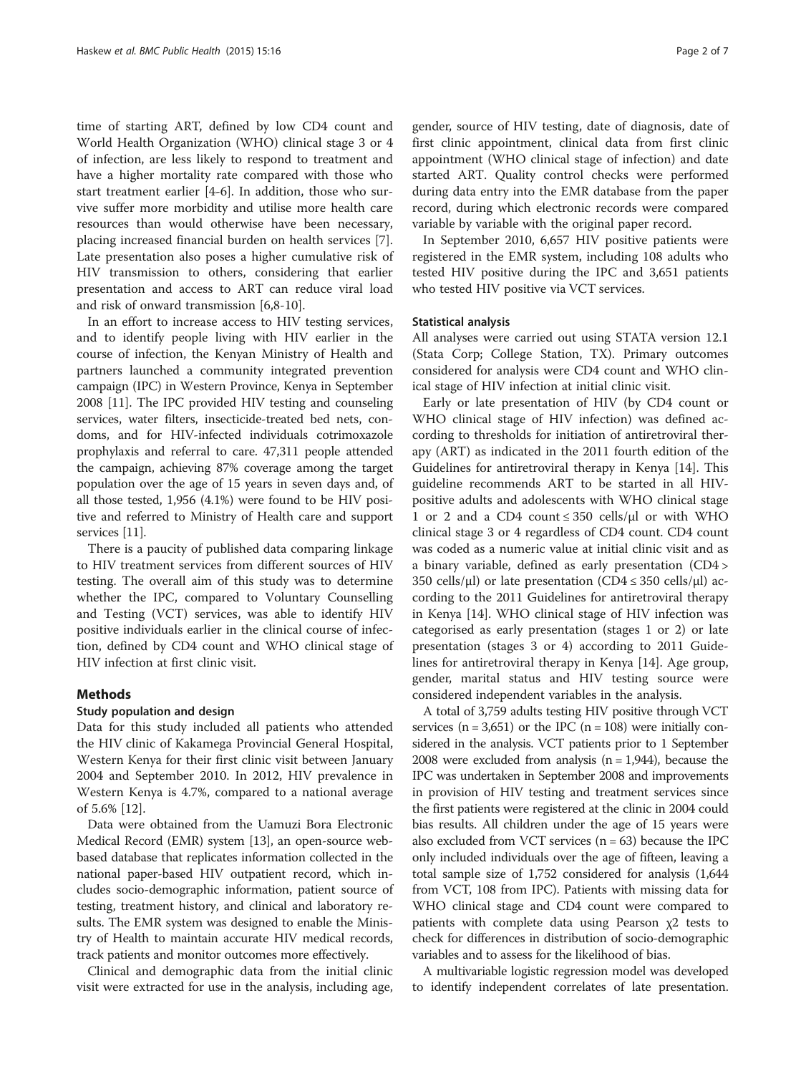time of starting ART, defined by low CD4 count and World Health Organization (WHO) clinical stage 3 or 4 of infection, are less likely to respond to treatment and have a higher mortality rate compared with those who start treatment earlier [\[4](#page-5-0)-[6\]](#page-5-0). In addition, those who survive suffer more morbidity and utilise more health care resources than would otherwise have been necessary, placing increased financial burden on health services [\[7](#page-5-0)]. Late presentation also poses a higher cumulative risk of HIV transmission to others, considering that earlier presentation and access to ART can reduce viral load and risk of onward transmission [\[6,8-10](#page-5-0)].

In an effort to increase access to HIV testing services, and to identify people living with HIV earlier in the course of infection, the Kenyan Ministry of Health and partners launched a community integrated prevention campaign (IPC) in Western Province, Kenya in September 2008 [[11](#page-5-0)]. The IPC provided HIV testing and counseling services, water filters, insecticide-treated bed nets, condoms, and for HIV-infected individuals cotrimoxazole prophylaxis and referral to care. 47,311 people attended the campaign, achieving 87% coverage among the target population over the age of 15 years in seven days and, of all those tested, 1,956 (4.1%) were found to be HIV positive and referred to Ministry of Health care and support services [\[11](#page-5-0)].

There is a paucity of published data comparing linkage to HIV treatment services from different sources of HIV testing. The overall aim of this study was to determine whether the IPC, compared to Voluntary Counselling and Testing (VCT) services, was able to identify HIV positive individuals earlier in the clinical course of infection, defined by CD4 count and WHO clinical stage of HIV infection at first clinic visit.

# Methods

#### Study population and design

Data for this study included all patients who attended the HIV clinic of Kakamega Provincial General Hospital, Western Kenya for their first clinic visit between January 2004 and September 2010. In 2012, HIV prevalence in Western Kenya is 4.7%, compared to a national average of 5.6% [[12](#page-6-0)].

Data were obtained from the Uamuzi Bora Electronic Medical Record (EMR) system [\[13\]](#page-6-0), an open-source webbased database that replicates information collected in the national paper-based HIV outpatient record, which includes socio-demographic information, patient source of testing, treatment history, and clinical and laboratory results. The EMR system was designed to enable the Ministry of Health to maintain accurate HIV medical records, track patients and monitor outcomes more effectively.

Clinical and demographic data from the initial clinic visit were extracted for use in the analysis, including age, gender, source of HIV testing, date of diagnosis, date of first clinic appointment, clinical data from first clinic appointment (WHO clinical stage of infection) and date started ART. Quality control checks were performed during data entry into the EMR database from the paper record, during which electronic records were compared variable by variable with the original paper record.

In September 2010, 6,657 HIV positive patients were registered in the EMR system, including 108 adults who tested HIV positive during the IPC and 3,651 patients who tested HIV positive via VCT services.

#### Statistical analysis

All analyses were carried out using STATA version 12.1 (Stata Corp; College Station, TX). Primary outcomes considered for analysis were CD4 count and WHO clinical stage of HIV infection at initial clinic visit.

Early or late presentation of HIV (by CD4 count or WHO clinical stage of HIV infection) was defined according to thresholds for initiation of antiretroviral therapy (ART) as indicated in the 2011 fourth edition of the Guidelines for antiretroviral therapy in Kenya [[14\]](#page-6-0). This guideline recommends ART to be started in all HIVpositive adults and adolescents with WHO clinical stage 1 or 2 and a CD4 count ≤ 350 cells/μl or with WHO clinical stage 3 or 4 regardless of CD4 count. CD4 count was coded as a numeric value at initial clinic visit and as a binary variable, defined as early presentation (CD4 > 350 cells/μl) or late presentation (CD4  $\leq$  350 cells/μl) according to the 2011 Guidelines for antiretroviral therapy in Kenya [[14\]](#page-6-0). WHO clinical stage of HIV infection was categorised as early presentation (stages 1 or 2) or late presentation (stages 3 or 4) according to 2011 Guidelines for antiretroviral therapy in Kenya [[14\]](#page-6-0). Age group, gender, marital status and HIV testing source were considered independent variables in the analysis.

A total of 3,759 adults testing HIV positive through VCT services ( $n = 3,651$ ) or the IPC ( $n = 108$ ) were initially considered in the analysis. VCT patients prior to 1 September 2008 were excluded from analysis  $(n = 1,944)$ , because the IPC was undertaken in September 2008 and improvements in provision of HIV testing and treatment services since the first patients were registered at the clinic in 2004 could bias results. All children under the age of 15 years were also excluded from VCT services  $(n = 63)$  because the IPC only included individuals over the age of fifteen, leaving a total sample size of 1,752 considered for analysis (1,644 from VCT, 108 from IPC). Patients with missing data for WHO clinical stage and CD4 count were compared to patients with complete data using Pearson χ2 tests to check for differences in distribution of socio-demographic variables and to assess for the likelihood of bias.

A multivariable logistic regression model was developed to identify independent correlates of late presentation.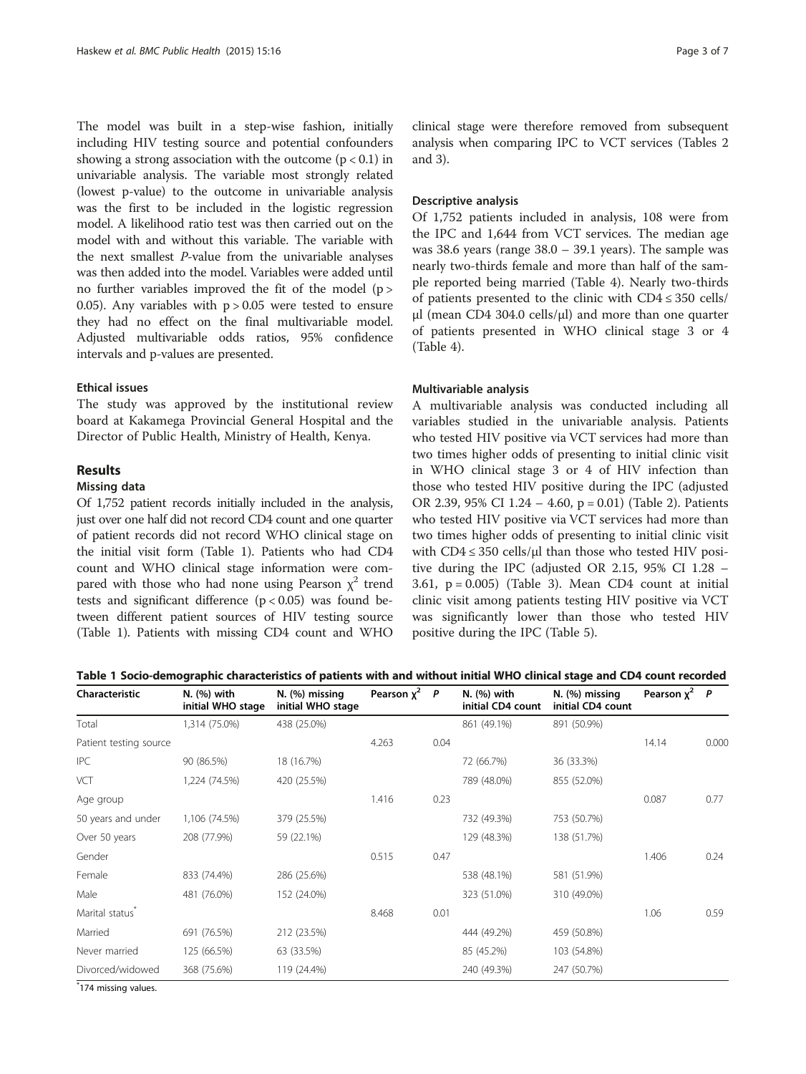The model was built in a step-wise fashion, initially including HIV testing source and potential confounders showing a strong association with the outcome  $(p < 0.1)$  in univariable analysis. The variable most strongly related (lowest p-value) to the outcome in univariable analysis was the first to be included in the logistic regression model. A likelihood ratio test was then carried out on the model with and without this variable. The variable with the next smallest P-value from the univariable analyses was then added into the model. Variables were added until no further variables improved the fit of the model  $(p >$ 0.05). Any variables with  $p > 0.05$  were tested to ensure they had no effect on the final multivariable model. Adjusted multivariable odds ratios, 95% confidence intervals and p-values are presented.

### Ethical issues

The study was approved by the institutional review board at Kakamega Provincial General Hospital and the Director of Public Health, Ministry of Health, Kenya.

# Results

#### Missing data

Of 1,752 patient records initially included in the analysis, just over one half did not record CD4 count and one quarter of patient records did not record WHO clinical stage on the initial visit form (Table 1). Patients who had CD4 count and WHO clinical stage information were compared with those who had none using Pearson  $\chi^2$  trend tests and significant difference  $(p < 0.05)$  was found between different patient sources of HIV testing source (Table 1). Patients with missing CD4 count and WHO

clinical stage were therefore removed from subsequent analysis when comparing IPC to VCT services (Tables [2](#page-3-0) and [3\)](#page-3-0).

#### Descriptive analysis

Of 1,752 patients included in analysis, 108 were from the IPC and 1,644 from VCT services. The median age was 38.6 years (range 38.0 – 39.1 years). The sample was nearly two-thirds female and more than half of the sample reported being married (Table [4](#page-4-0)). Nearly two-thirds of patients presented to the clinic with CD4 ≤ 350 cells/ μl (mean CD4 304.0 cells/μl) and more than one quarter of patients presented in WHO clinical stage 3 or 4 (Table [4\)](#page-4-0).

#### Multivariable analysis

A multivariable analysis was conducted including all variables studied in the univariable analysis. Patients who tested HIV positive via VCT services had more than two times higher odds of presenting to initial clinic visit in WHO clinical stage 3 or 4 of HIV infection than those who tested HIV positive during the IPC (adjusted OR 2.39, 95% CI 1.24 – 4.60, p = 0.01) (Table [2\)](#page-3-0). Patients who tested HIV positive via VCT services had more than two times higher odds of presenting to initial clinic visit with  $CD4 \leq 350$  cells/µl than those who tested HIV positive during the IPC (adjusted OR 2.15, 95% CI 1.28 – 3.61,  $p = 0.005$ ) (Table [3\)](#page-3-0). Mean CD4 count at initial clinic visit among patients testing HIV positive via VCT was significantly lower than those who tested HIV positive during the IPC (Table [5](#page-4-0)).

| Table 1 Socio-demographic characteristics of patients with and without initial WHO clinical stage and CD4 count recorded |  |  |
|--------------------------------------------------------------------------------------------------------------------------|--|--|
|--------------------------------------------------------------------------------------------------------------------------|--|--|

| <b>Characteristic</b>       | N. (%) with<br>initial WHO stage | N. (%) missing<br>initial WHO stage | Pearson $x^2$ P |      | N. (%) with<br>initial CD4 count | N. (%) missing<br>initial CD4 count | Pearson $x^2$ P |       |
|-----------------------------|----------------------------------|-------------------------------------|-----------------|------|----------------------------------|-------------------------------------|-----------------|-------|
| Total                       | 1,314 (75.0%)                    | 438 (25.0%)                         |                 |      | 861 (49.1%)                      | 891 (50.9%)                         |                 |       |
| Patient testing source      |                                  |                                     | 4.263           | 0.04 |                                  |                                     | 14.14           | 0.000 |
| <b>IPC</b>                  | 90 (86.5%)                       | 18 (16.7%)                          |                 |      | 72 (66.7%)                       | 36 (33.3%)                          |                 |       |
| VCT                         | 1,224 (74.5%)                    | 420 (25.5%)                         |                 |      | 789 (48.0%)                      | 855 (52.0%)                         |                 |       |
| Age group                   |                                  |                                     | 1.416           | 0.23 |                                  |                                     | 0.087           | 0.77  |
| 50 years and under          | 1,106 (74.5%)                    | 379 (25.5%)                         |                 |      | 732 (49.3%)                      | 753 (50.7%)                         |                 |       |
| Over 50 years               | 208 (77.9%)                      | 59 (22.1%)                          |                 |      | 129 (48.3%)                      | 138 (51.7%)                         |                 |       |
| Gender                      |                                  |                                     | 0.515           | 0.47 |                                  |                                     | 1.406           | 0.24  |
| Female                      | 833 (74.4%)                      | 286 (25.6%)                         |                 |      | 538 (48.1%)                      | 581 (51.9%)                         |                 |       |
| Male                        | 481 (76.0%)                      | 152 (24.0%)                         |                 |      | 323 (51.0%)                      | 310 (49.0%)                         |                 |       |
| Marital status <sup>®</sup> |                                  |                                     | 8.468           | 0.01 |                                  |                                     | 1.06            | 0.59  |
| Married                     | 691 (76.5%)                      | 212 (23.5%)                         |                 |      | 444 (49.2%)                      | 459 (50.8%)                         |                 |       |
| Never married               | 125 (66.5%)                      | 63 (33.5%)                          |                 |      | 85 (45.2%)                       | 103 (54.8%)                         |                 |       |
| Divorced/widowed            | 368 (75.6%)                      | 119 (24.4%)                         |                 |      | 240 (49.3%)                      | 247 (50.7%)                         |                 |       |

\* 174 missing values.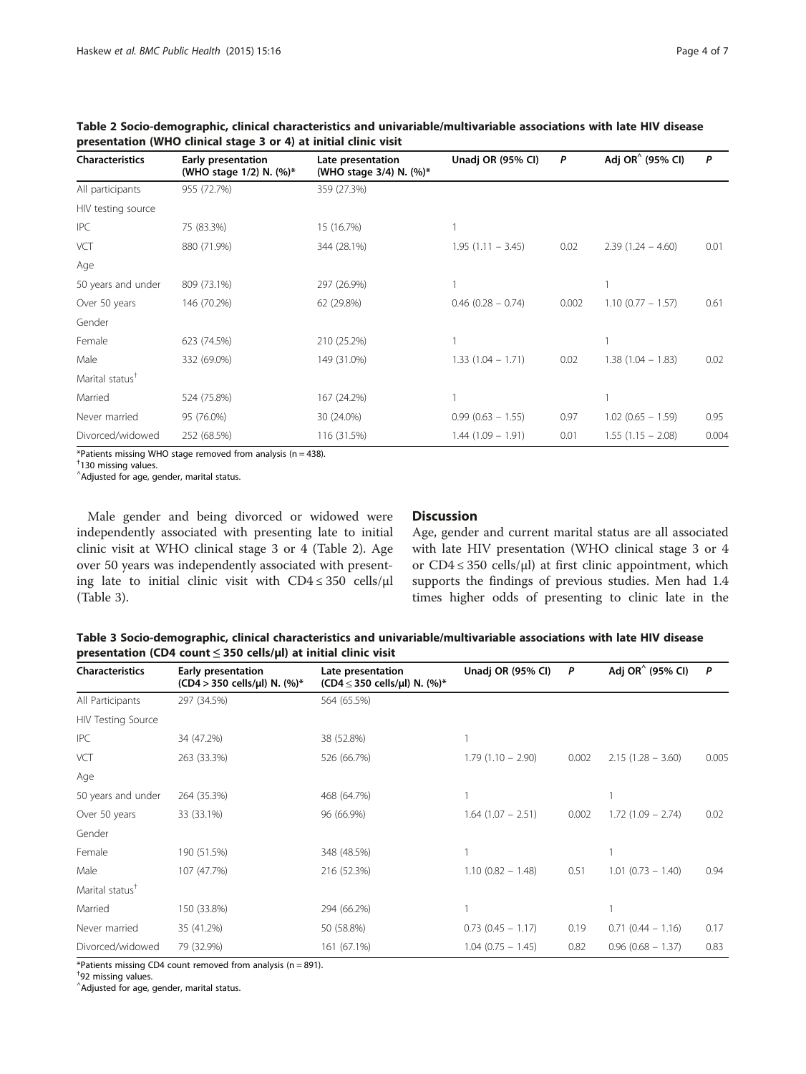| <b>Characteristics</b>      | Early presentation<br>(WHO stage 1/2) N. (%)* | Late presentation<br>(WHO stage 3/4) N. (%)* | Unadj OR (95% CI)    | P     | Adj OR <sup>^</sup> (95% CI) | P     |
|-----------------------------|-----------------------------------------------|----------------------------------------------|----------------------|-------|------------------------------|-------|
| All participants            | 955 (72.7%)                                   | 359 (27.3%)                                  |                      |       |                              |       |
| HIV testing source          |                                               |                                              |                      |       |                              |       |
| <b>IPC</b>                  | 75 (83.3%)                                    | 15 (16.7%)                                   |                      |       |                              |       |
| VCT                         | 880 (71.9%)                                   | 344 (28.1%)                                  | $1.95(1.11 - 3.45)$  | 0.02  | $2.39(1.24 - 4.60)$          | 0.01  |
| Age                         |                                               |                                              |                      |       |                              |       |
| 50 years and under          | 809 (73.1%)                                   | 297 (26.9%)                                  |                      |       |                              |       |
| Over 50 years               | 146 (70.2%)                                   | 62 (29.8%)                                   | $0.46$ (0.28 - 0.74) | 0.002 | $1.10$ (0.77 - 1.57)         | 0.61  |
| Gender                      |                                               |                                              |                      |       |                              |       |
| Female                      | 623 (74.5%)                                   | 210 (25.2%)                                  |                      |       |                              |       |
| Male                        | 332 (69.0%)                                   | 149 (31.0%)                                  | $1.33(1.04 - 1.71)$  | 0.02  | $1.38(1.04 - 1.83)$          | 0.02  |
| Marital status <sup>†</sup> |                                               |                                              |                      |       |                              |       |
| Married                     | 524 (75.8%)                                   | 167 (24.2%)                                  |                      |       |                              |       |
| Never married               | 95 (76.0%)                                    | 30 (24.0%)                                   | $0.99(0.63 - 1.55)$  | 0.97  | $1.02$ (0.65 - 1.59)         | 0.95  |
| Divorced/widowed            | 252 (68.5%)                                   | 116 (31.5%)                                  | $1.44(1.09 - 1.91)$  | 0.01  | $1.55(1.15 - 2.08)$          | 0.004 |

<span id="page-3-0"></span>Table 2 Socio-demographic, clinical characteristics and univariable/multivariable associations with late HIV disease presentation (WHO clinical stage 3 or 4) at initial clinic visit

\*Patients missing WHO stage removed from analysis (n = 438).

† 130 missing values.

 $^{\wedge}$ Adjusted for age, gender, marital status.

Male gender and being divorced or widowed were independently associated with presenting late to initial clinic visit at WHO clinical stage 3 or 4 (Table 2). Age over 50 years was independently associated with presenting late to initial clinic visit with  $CD4 \leq 350$  cells/ $\mu$ l (Table 3).

### **Discussion**

Age, gender and current marital status are all associated with late HIV presentation (WHO clinical stage 3 or 4 or  $CD4 \leq 350$  cells/ $\mu$ l) at first clinic appointment, which supports the findings of previous studies. Men had 1.4 times higher odds of presenting to clinic late in the

Table 3 Socio-demographic, clinical characteristics and univariable/multivariable associations with late HIV disease presentation (CD4 count  $\leq$  350 cells/ $\mu$ l) at initial clinic visit

| <b>Characteristics</b>      | Early presentation<br>(CD4 > 350 cells/µl) N. (%)* | Late presentation<br>(CD4 $\leq$ 350 cells/µl) N. (%)* | Unadj OR (95% CI)      | P     | Adj OR <sup>^</sup> (95% Cl) | P     |
|-----------------------------|----------------------------------------------------|--------------------------------------------------------|------------------------|-------|------------------------------|-------|
| All Participants            | 297 (34.5%)                                        | 564 (65.5%)                                            |                        |       |                              |       |
| <b>HIV Testing Source</b>   |                                                    |                                                        |                        |       |                              |       |
| <b>IPC</b>                  | 34 (47.2%)                                         | 38 (52.8%)                                             |                        |       |                              |       |
| VCT                         | 263 (33.3%)                                        | 526 (66.7%)                                            | $1.79(1.10 - 2.90)$    | 0.002 | $2.15(1.28 - 3.60)$          | 0.005 |
| Age                         |                                                    |                                                        |                        |       |                              |       |
| 50 years and under          | 264 (35.3%)                                        | 468 (64.7%)                                            |                        |       |                              |       |
| Over 50 years               | 33 (33.1%)                                         | 96 (66.9%)                                             | $1.64$ $(1.07 - 2.51)$ | 0.002 | $1.72(1.09 - 2.74)$          | 0.02  |
| Gender                      |                                                    |                                                        |                        |       |                              |       |
| Female                      | 190 (51.5%)                                        | 348 (48.5%)                                            |                        |       |                              |       |
| Male                        | 107 (47.7%)                                        | 216 (52.3%)                                            | $1.10(0.82 - 1.48)$    | 0.51  | $1.01$ (0.73 - 1.40)         | 0.94  |
| Marital status <sup>†</sup> |                                                    |                                                        |                        |       |                              |       |
| Married                     | 150 (33.8%)                                        | 294 (66.2%)                                            |                        |       |                              |       |
| Never married               | 35 (41.2%)                                         | 50 (58.8%)                                             | $0.73$ $(0.45 - 1.17)$ | 0.19  | $0.71(0.44 - 1.16)$          | 0.17  |
| Divorced/widowed            | 79 (32.9%)                                         | 161 (67.1%)                                            | $1.04$ (0.75 - 1.45)   | 0.82  | $0.96$ (0.68 - 1.37)         | 0.83  |

\*Patients missing CD4 count removed from analysis ( $n = 891$ ).

† 92 missing values.

^ Adjusted for age, gender, marital status.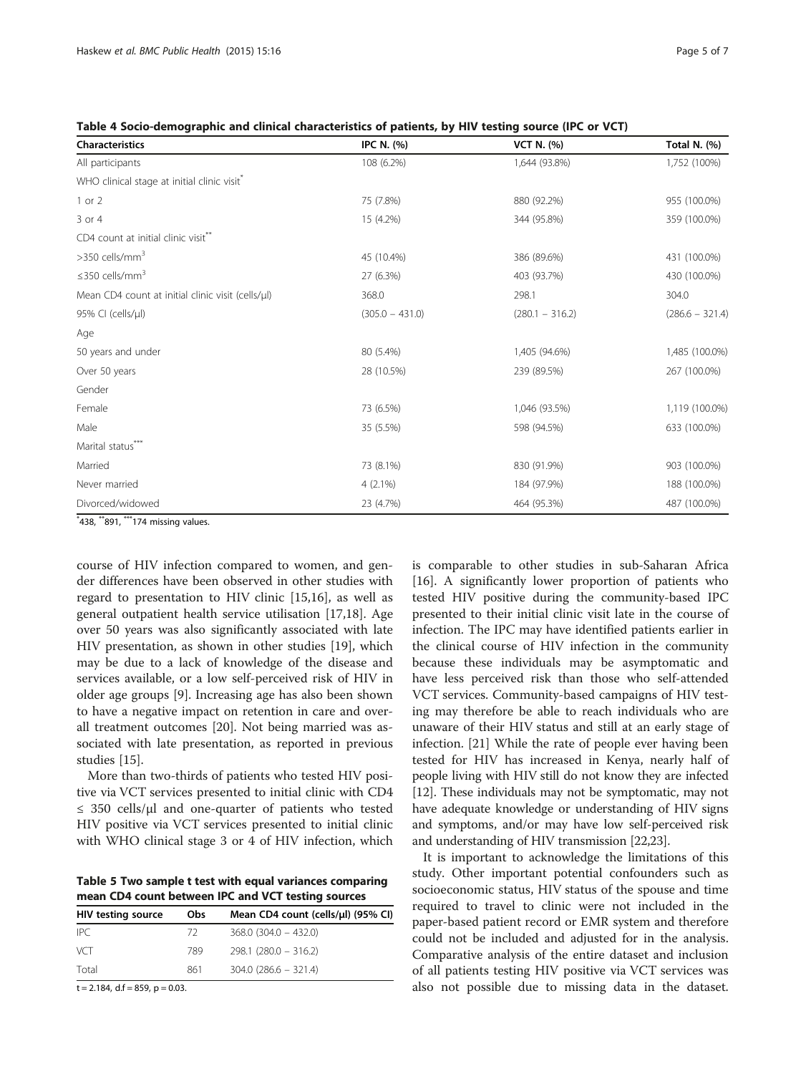<span id="page-4-0"></span>

| Table 4 Socio-demographic and clinical characteristics of patients, by HIV testing source (IPC or VCT) |  |
|--------------------------------------------------------------------------------------------------------|--|
|--------------------------------------------------------------------------------------------------------|--|

| <b>Characteristics</b>                                  | <b>IPC N. (%)</b> | <b>VCT N. (%)</b> | Total N. (%)      |
|---------------------------------------------------------|-------------------|-------------------|-------------------|
| All participants                                        | 108 (6.2%)        | 1,644 (93.8%)     | 1,752 (100%)      |
| WHO clinical stage at initial clinic visit <sup>®</sup> |                   |                   |                   |
| $1$ or $2$                                              | 75 (7.8%)         | 880 (92.2%)       | 955 (100.0%)      |
| 3 or 4                                                  | 15 (4.2%)         | 344 (95.8%)       | 359 (100.0%)      |
| CD4 count at initial clinic visit**                     |                   |                   |                   |
| >350 cells/mm <sup>3</sup>                              | 45 (10.4%)        | 386 (89.6%)       | 431 (100.0%)      |
| $\leq$ 350 cells/mm <sup>3</sup>                        | 27 (6.3%)         | 403 (93.7%)       | 430 (100.0%)      |
| Mean CD4 count at initial clinic visit (cells/µl)       | 368.0             | 298.1             | 304.0             |
| 95% CI (cells/µl)                                       | $(305.0 - 431.0)$ | $(280.1 - 316.2)$ | $(286.6 - 321.4)$ |
| Age                                                     |                   |                   |                   |
| 50 years and under                                      | 80 (5.4%)         | 1,405 (94.6%)     | 1,485 (100.0%)    |
| Over 50 years                                           | 28 (10.5%)        | 239 (89.5%)       | 267 (100.0%)      |
| Gender                                                  |                   |                   |                   |
| Female                                                  | 73 (6.5%)         | 1,046 (93.5%)     | 1,119 (100.0%)    |
| Male                                                    | 35 (5.5%)         | 598 (94.5%)       | 633 (100.0%)      |
| Marital status***                                       |                   |                   |                   |
| Married                                                 | 73 (8.1%)         | 830 (91.9%)       | 903 (100.0%)      |
| Never married                                           | $4(2.1\%)$        | 184 (97.9%)       | 188 (100.0%)      |
| Divorced/widowed                                        | 23 (4.7%)         | 464 (95.3%)       | 487 (100.0%)      |

\* 438, \*\*891, \*\*\*174 missing values.

course of HIV infection compared to women, and gender differences have been observed in other studies with regard to presentation to HIV clinic [[15,16](#page-6-0)], as well as general outpatient health service utilisation [[17](#page-6-0),[18](#page-6-0)]. Age over 50 years was also significantly associated with late HIV presentation, as shown in other studies [\[19](#page-6-0)], which may be due to a lack of knowledge of the disease and services available, or a low self-perceived risk of HIV in older age groups [\[9](#page-5-0)]. Increasing age has also been shown to have a negative impact on retention in care and overall treatment outcomes [[20\]](#page-6-0). Not being married was associated with late presentation, as reported in previous studies [\[15\]](#page-6-0).

More than two-thirds of patients who tested HIV positive via VCT services presented to initial clinic with CD4 ≤ 350 cells/μl and one-quarter of patients who tested HIV positive via VCT services presented to initial clinic with WHO clinical stage 3 or 4 of HIV infection, which

Table 5 Two sample t test with equal variances comparing mean CD4 count between IPC and VCT testing sources

| <b>Obs</b> | Mean CD4 count (cells/µl) (95% Cl) |
|------------|------------------------------------|
| 72.        | $368.0$ (304.0 - 432.0)            |
| 789        | $298.1 (280.0 - 316.2)$            |
| 861        | $304.0$ (286.6 - 321.4)            |
|            |                                    |

 $t = 2.184$ , d.f = 859, p = 0.03

is comparable to other studies in sub-Saharan Africa [[16\]](#page-6-0). A significantly lower proportion of patients who tested HIV positive during the community-based IPC presented to their initial clinic visit late in the course of infection. The IPC may have identified patients earlier in the clinical course of HIV infection in the community because these individuals may be asymptomatic and have less perceived risk than those who self-attended VCT services. Community-based campaigns of HIV testing may therefore be able to reach individuals who are unaware of their HIV status and still at an early stage of infection. [\[21\]](#page-6-0) While the rate of people ever having been tested for HIV has increased in Kenya, nearly half of people living with HIV still do not know they are infected [[12](#page-6-0)]. These individuals may not be symptomatic, may not have adequate knowledge or understanding of HIV signs and symptoms, and/or may have low self-perceived risk and understanding of HIV transmission [[22](#page-6-0),[23](#page-6-0)].

It is important to acknowledge the limitations of this study. Other important potential confounders such as socioeconomic status, HIV status of the spouse and time required to travel to clinic were not included in the paper-based patient record or EMR system and therefore could not be included and adjusted for in the analysis. Comparative analysis of the entire dataset and inclusion of all patients testing HIV positive via VCT services was also not possible due to missing data in the dataset.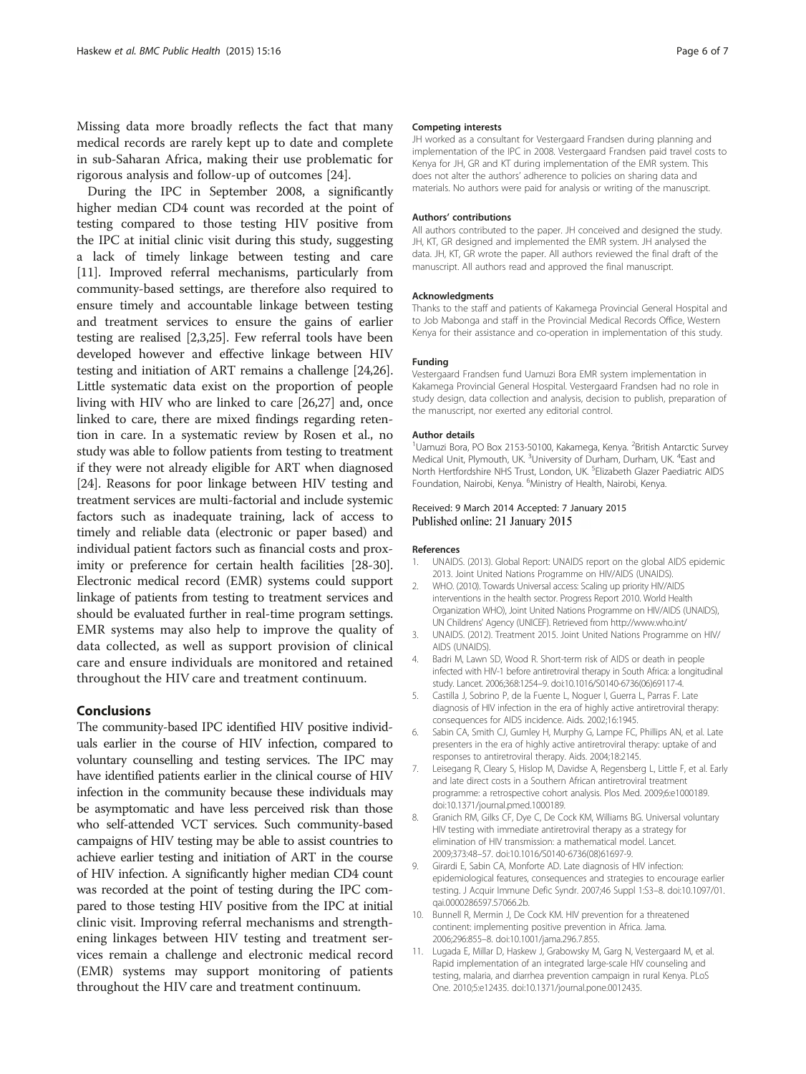<span id="page-5-0"></span>Missing data more broadly reflects the fact that many medical records are rarely kept up to date and complete in sub-Saharan Africa, making their use problematic for rigorous analysis and follow-up of outcomes [\[24](#page-6-0)].

During the IPC in September 2008, a significantly higher median CD4 count was recorded at the point of testing compared to those testing HIV positive from the IPC at initial clinic visit during this study, suggesting a lack of timely linkage between testing and care [11]. Improved referral mechanisms, particularly from community-based settings, are therefore also required to ensure timely and accountable linkage between testing and treatment services to ensure the gains of earlier testing are realised [2,3[,25](#page-6-0)]. Few referral tools have been developed however and effective linkage between HIV testing and initiation of ART remains a challenge [\[24,26](#page-6-0)]. Little systematic data exist on the proportion of people living with HIV who are linked to care [\[26,27](#page-6-0)] and, once linked to care, there are mixed findings regarding retention in care. In a systematic review by Rosen et al., no study was able to follow patients from testing to treatment if they were not already eligible for ART when diagnosed [[24](#page-6-0)]. Reasons for poor linkage between HIV testing and treatment services are multi-factorial and include systemic factors such as inadequate training, lack of access to timely and reliable data (electronic or paper based) and individual patient factors such as financial costs and proximity or preference for certain health facilities [[28](#page-6-0)-[30](#page-6-0)]. Electronic medical record (EMR) systems could support linkage of patients from testing to treatment services and should be evaluated further in real-time program settings. EMR systems may also help to improve the quality of data collected, as well as support provision of clinical care and ensure individuals are monitored and retained throughout the HIV care and treatment continuum.

#### Conclusions

The community-based IPC identified HIV positive individuals earlier in the course of HIV infection, compared to voluntary counselling and testing services. The IPC may have identified patients earlier in the clinical course of HIV infection in the community because these individuals may be asymptomatic and have less perceived risk than those who self-attended VCT services. Such community-based campaigns of HIV testing may be able to assist countries to achieve earlier testing and initiation of ART in the course of HIV infection. A significantly higher median CD4 count was recorded at the point of testing during the IPC compared to those testing HIV positive from the IPC at initial clinic visit. Improving referral mechanisms and strengthening linkages between HIV testing and treatment services remain a challenge and electronic medical record (EMR) systems may support monitoring of patients throughout the HIV care and treatment continuum.

#### Competing interests

JH worked as a consultant for Vestergaard Frandsen during planning and implementation of the IPC in 2008. Vestergaard Frandsen paid travel costs to Kenya for JH, GR and KT during implementation of the EMR system. This does not alter the authors' adherence to policies on sharing data and materials. No authors were paid for analysis or writing of the manuscript.

#### Authors' contributions

All authors contributed to the paper. JH conceived and designed the study. JH, KT, GR designed and implemented the EMR system. JH analysed the data. JH, KT, GR wrote the paper. All authors reviewed the final draft of the manuscript. All authors read and approved the final manuscript.

#### Acknowledgments

Thanks to the staff and patients of Kakamega Provincial General Hospital and to Job Mabonga and staff in the Provincial Medical Records Office, Western Kenya for their assistance and co-operation in implementation of this study.

#### Funding

Vestergaard Frandsen fund Uamuzi Bora EMR system implementation in Kakamega Provincial General Hospital. Vestergaard Frandsen had no role in study design, data collection and analysis, decision to publish, preparation of the manuscript, nor exerted any editorial control.

#### Author details

<sup>1</sup> Uamuzi Bora, PO Box 2153-50100, Kakamega, Kenya. <sup>2</sup> British Antarctic Survey Medical Unit, Plymouth, UK. <sup>3</sup>University of Durham, Durham, UK. <sup>4</sup>East and North Hertfordshire NHS Trust, London, UK. <sup>5</sup>Elizabeth Glazer Paediatric AIDS Foundation, Nairobi, Kenya. <sup>6</sup>Ministry of Health, Nairobi, Kenya

#### Received: 9 March 2014 Accepted: 7 January 2015 Published online: 21 January 2015

#### References

- 1. UNAIDS. (2013). Global Report: UNAIDS report on the global AIDS epidemic 2013. Joint United Nations Programme on HIV/AIDS (UNAIDS).
- 2. WHO. (2010). Towards Universal access: Scaling up priority HIV/AIDS interventions in the health sector. Progress Report 2010. World Health Organization WHO), Joint United Nations Programme on HIV/AIDS (UNAIDS), UN Childrens' Agency (UNICEF). Retrieved from<http://www.who.int/>
- 3. UNAIDS. (2012). Treatment 2015. Joint United Nations Programme on HIV/ AIDS (UNAIDS).
- 4. Badri M, Lawn SD, Wood R. Short-term risk of AIDS or death in people infected with HIV-1 before antiretroviral therapy in South Africa: a longitudinal study. Lancet. 2006;368:1254–9. doi:10.1016/S0140-6736(06)69117-4.
- 5. Castilla J, Sobrino P, de la Fuente L, Noguer I, Guerra L, Parras F. Late diagnosis of HIV infection in the era of highly active antiretroviral therapy: consequences for AIDS incidence. Aids. 2002;16:1945.
- 6. Sabin CA, Smith CJ, Gumley H, Murphy G, Lampe FC, Phillips AN, et al. Late presenters in the era of highly active antiretroviral therapy: uptake of and responses to antiretroviral therapy. Aids. 2004;18:2145.
- 7. Leisegang R, Cleary S, Hislop M, Davidse A, Regensberg L, Little F, et al. Early and late direct costs in a Southern African antiretroviral treatment programme: a retrospective cohort analysis. Plos Med. 2009;6:e1000189. doi:10.1371/journal.pmed.1000189.
- 8. Granich RM, Gilks CF, Dye C, De Cock KM, Williams BG. Universal voluntary HIV testing with immediate antiretroviral therapy as a strategy for elimination of HIV transmission: a mathematical model. Lancet. 2009;373:48–57. doi:10.1016/S0140-6736(08)61697-9.
- 9. Girardi E, Sabin CA, Monforte AD. Late diagnosis of HIV infection: epidemiological features, consequences and strategies to encourage earlier testing. J Acquir Immune Defic Syndr. 2007;46 Suppl 1:S3–8. doi:[10.1097/01.](http://dx.doi.org/10.1097/01.qai.0000286597.57066.2b) [qai.0000286597.57066.2b](http://dx.doi.org/10.1097/01.qai.0000286597.57066.2b).
- 10. Bunnell R, Mermin J, De Cock KM. HIV prevention for a threatened continent: implementing positive prevention in Africa. Jama. 2006;296:855–8. doi:10.1001/jama.296.7.855.
- 11. Lugada E, Millar D, Haskew J, Grabowsky M, Garg N, Vestergaard M, et al. Rapid implementation of an integrated large-scale HIV counseling and testing, malaria, and diarrhea prevention campaign in rural Kenya. PLoS One. 2010;5:e12435. doi:10.1371/journal.pone.0012435.